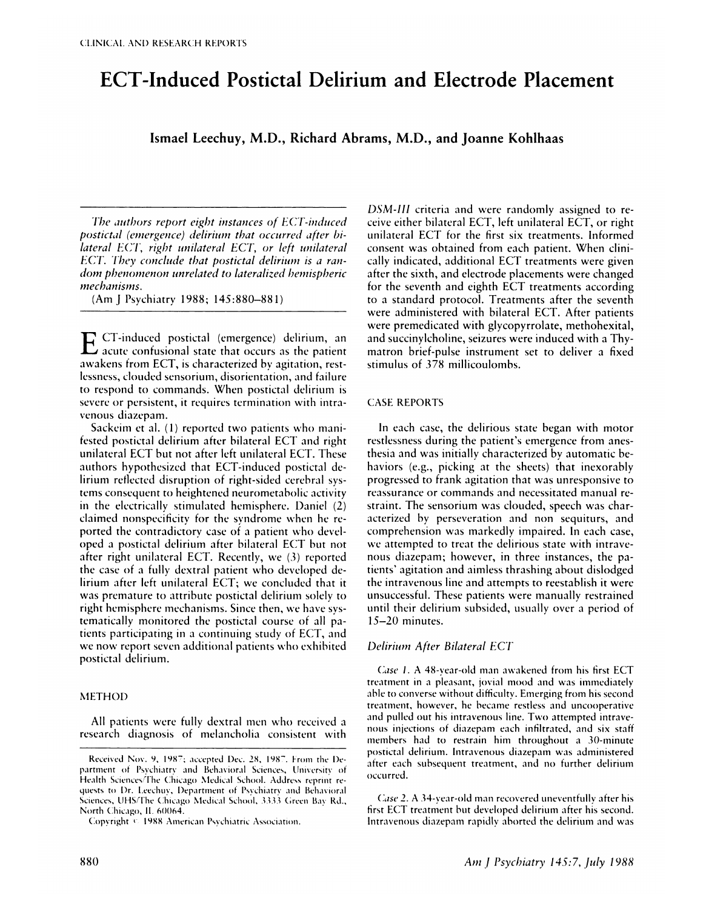# **ECT-Induced Postictal Delirium and Electrode Placement**

**Ismael Leechuy, M.D., Richard Abrams, M.D., and Joanne Kohlhaas**

*The authors report eight instances of ECT-induced postictal (emergence) delirium that occurred after bilateral ECI', right unilateral ECT, or left unilateral ECT. Iiey conclude that postictal delirium is a ran*  $dom$  *phenomenon unrelated* to *lateralized bemispheric nechanisnzs.*

(AmJ Psychiatry 1988; 145:880-881)

**E** CT-induced postictal (emergence) delirium, an acute confusional state that occurs as the patient awakens from ECT, is characterized by agitation, restlessness, clouded sensorium, disorientation, and failure to respond to commands. When postictal delirium is severe or persistent, it requires temmination with intra venous diazepam.

Sackeim et al.  $(1)$  reported two patients who manifested postictal delirium after bilateral ECT and right unilateral ECT but not after left unilateral ECT. These authors hypothesized that ECT-induced postictal delirium reflected disruption of right-sided cerebral systems consequent to heightened neurometaholic activity in the electrically stimulated hemisphere. Daniel (2) claimed nonspecificity for the syndrome when he reported the contradictory case of a patient who developed a postictal delirium after bilateral ECT hut not after right unilateral ECT. Recently, we (3) reported the case of a fully dextral patient who developed delirium after left unilateral ECT; we concluded that it was premature to attribute postictal delirium solely to right hemisphere mechanisms. Since then, we have systematically monitored the postictal course of all patients participating in a continuing study of ECT, and we now report seven additional patients who exhibited postictal delirium.

# **METHOD**

All patients were fully dextral men who received a research diagnosis of melancholia consistent with

*DSM-III* criteria and were randomly assigned to receive either bilateral ECT, left unilateral ECT, or right unilateral ECT for the first six treatments. Informed consent was obtained from each patient. When clinically indicated, additional ECT treatments were given after the sixth, and electrode placements were changed for the seventh and eighth ECT treatments according to a standard protocol. Treatments after the seventh were administered with bilateral ECT. After patients were premedicated with glycopyrrolate, methohexital, and succinylcholine, seizures were induced with a Thymatron brief-pulse instrument set to deliver a fixed stimulus of 378 millicoulomhs.

# CASE REPORTS

In each case, the delirious state began with motor restlessness during the patient's emergence from anesthesia and was initially characterized by automatic behaviors (e.g., picking at the sheets) that inexorably progressed to frank agitation that was unresponsive to reassurance or commands and necessitated manual re straint. The sensorium was clouded, speech was characterized by perseveration and non sequiturs, and comprehension was markedly impaired. In each case, we attempted to treat the delirious state with intrave nous diazepam; however, in three instances, the patients' agitation and aimless thrashing about dislodged the intravenous line and attempts to reestablish it were unsuccessful. These patients were manually restrained until their delirium subsided, usually over a period of 15-20 minutes.

# *Delirium After Bilateral ECT*

*Case 1* . A 48-year-old man awakened from his first ECT treatment in a pleasant, jovial mood and was immediately able to converse without difficulty. Emerging from his second treatment, however, he became restless and uncooperative and pulled out his intravenous line. Two attempted intravenous injections of diazepam each infiltrated, and six staff members had to restrain him throughout a 30-minute postictal delirium. Intravenous diazepam was administered after each subsequent treatment, and no further delirium occurred.

Case 2. A 34-year-old man recovered uneventfully after his first ECT treatment but developed delirium after his second. Intravenous diazepam rapidly aborted the delirium and was

Received Nov. 9, 1987; accepted Dec. 28, 1987. From the Department of Psychiatry and Behavioral Sciences, University of Health Sciences/The Chicago Medical School. Address reprint requests to Dr. Leechuy, Department of Psychiatry and Behavioral Sciences, UHS/The Chicago Medical School, 3333 Green Bay Rd., North Chicago, IL 60064.

Copyright<sup>ic</sup> 1988 American Psychiatric Association.